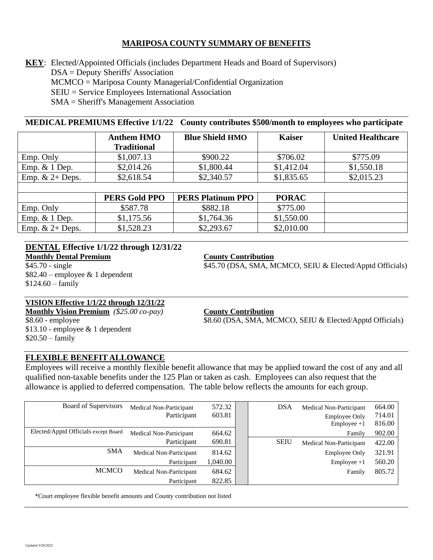## **MARIPOSA COUNTY SUMMARY OF BENEFITS**

**KEY**: Elected/Appointed Officials (includes Department Heads and Board of Supervisors) DSA = Deputy Sheriffs' Association MCMCO = Mariposa County Managerial/Confidential Organization SEIU = Service Employees International Association SMA = Sheriff's Management Association

## **MEDICAL PREMIUMS Effective 1/1/22 County contributes \$500/month to employees who participate**

|                   | <b>Anthem HMO</b><br><b>Traditional</b> | <b>Blue Shield HMO</b> | <b>Kaiser</b> | <b>United Healthcare</b> |
|-------------------|-----------------------------------------|------------------------|---------------|--------------------------|
| Emp. Only         | \$1,007.13                              | \$900.22               | \$706.02      | \$775.09                 |
| Emp. $& 1$ Dep.   | \$2,014.26                              | \$1,800.44             | \$1,412.04    | \$1,550.18               |
| Emp. $& 2+$ Deps. | \$2,618.54                              | \$2,340.57             | \$1,835.65    | \$2,015.23               |
|                   |                                         |                        |               |                          |

|                   | PERS Gold PPO | <b>PERS Platinum PPO</b> | <b>PORAC</b> |  |
|-------------------|---------------|--------------------------|--------------|--|
| Emp. Only         | \$587.78      | \$882.18                 | \$775.00     |  |
| Emp. $& 1$ Dep.   | \$1,175.56    | \$1,764.36               | \$1,550.00   |  |
| Emp. $& 2+$ Deps. | \$1,528.23    | \$2,293.67               | \$2,010.00   |  |

#### **DENTAL Effective 1/1/22 through 12/31/22 Monthly Dental Premium County Contribution**

\$82.40 – employee & 1 dependent  $$124.60 - family$ 

## **VISION Effective 1/1/22 through 12/31/22**

**Monthly Vision Premium** *(\$25.00 co-pay)* **County Contribution** \$13.10 - employee & 1 dependent \$20.50 – family

\$45.70 - single \$45.70 (DSA, SMA, MCMCO, SEIU & Elected/Apptd Officials)

\$8.60 - employee \$8.60 (DSA, SMA, MCMCO, SEIU & Elected/Apptd Officials)

## **FLEXIBLE BENEFIT ALLOWANCE**

Employees will receive a monthly flexible benefit allowance that may be applied toward the cost of any and all qualified non-taxable benefits under the 125 Plan or taken as cash. Employees can also request that the allowance is applied to deferred compensation. The table below reflects the amounts for each group.

| Board of Supervisors                 | Medical Non-Participant | 572.32   | <b>DSA</b>  | Medical Non-Participant | 664.00 |
|--------------------------------------|-------------------------|----------|-------------|-------------------------|--------|
|                                      | Participant             | 603.81   |             | <b>Employee Only</b>    | 714.01 |
|                                      |                         |          |             | $Employee +1$           | 816.00 |
| Elected/Apptd Officials except Board | Medical Non-Participant | 664.62   |             | Family                  | 902.00 |
|                                      | Participant             | 690.81   | <b>SEIU</b> | Medical Non-Participant | 422.00 |
| <b>SMA</b>                           | Medical Non-Participant | 814.62   |             | <b>Employee Only</b>    | 321.91 |
|                                      | Participant             | 1,040.00 |             | $Employee +1$           | 560.20 |
| <b>MCMCO</b>                         | Medical Non-Participant | 684.62   |             | Family                  | 805.72 |
|                                      | Participant             | 822.85   |             |                         |        |

\*Court employee flexible benefit amounts and County contribution not listed